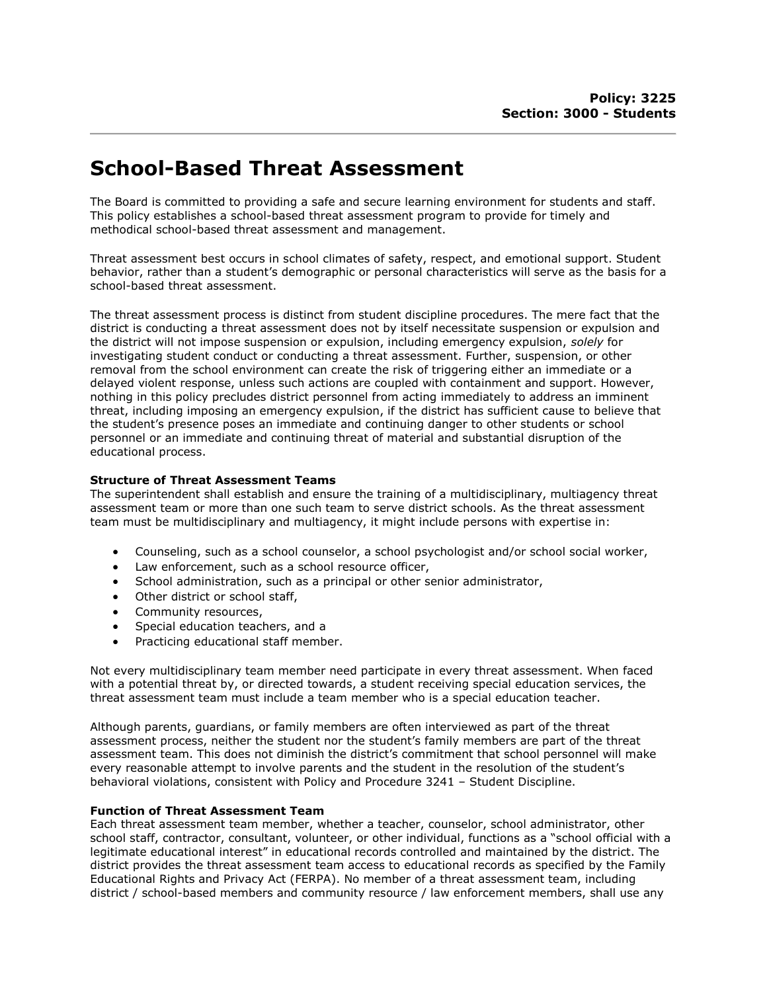# School-Based Threat Assessment

The Board is committed to providing a safe and secure learning environment for students and staff. This policy establishes a school-based threat assessment program to provide for timely and methodical school-based threat assessment and management.

Threat assessment best occurs in school climates of safety, respect, and emotional support. Student behavior, rather than a student's demographic or personal characteristics will serve as the basis for a school-based threat assessment.

The threat assessment process is distinct from student discipline procedures. The mere fact that the district is conducting a threat assessment does not by itself necessitate suspension or expulsion and the district will not impose suspension or expulsion, including emergency expulsion, solely for investigating student conduct or conducting a threat assessment. Further, suspension, or other removal from the school environment can create the risk of triggering either an immediate or a delayed violent response, unless such actions are coupled with containment and support. However, nothing in this policy precludes district personnel from acting immediately to address an imminent threat, including imposing an emergency expulsion, if the district has sufficient cause to believe that the student's presence poses an immediate and continuing danger to other students or school personnel or an immediate and continuing threat of material and substantial disruption of the educational process.

### Structure of Threat Assessment Teams

The superintendent shall establish and ensure the training of a multidisciplinary, multiagency threat assessment team or more than one such team to serve district schools. As the threat assessment team must be multidisciplinary and multiagency, it might include persons with expertise in:

- Counseling, such as a school counselor, a school psychologist and/or school social worker,
- Law enforcement, such as a school resource officer,
- School administration, such as a principal or other senior administrator,
- Other district or school staff,
- Community resources,
- Special education teachers, and a
- Practicing educational staff member.

Not every multidisciplinary team member need participate in every threat assessment. When faced with a potential threat by, or directed towards, a student receiving special education services, the threat assessment team must include a team member who is a special education teacher.

Although parents, guardians, or family members are often interviewed as part of the threat assessment process, neither the student nor the student's family members are part of the threat assessment team. This does not diminish the district's commitment that school personnel will make every reasonable attempt to involve parents and the student in the resolution of the student's behavioral violations, consistent with Policy and Procedure 3241 – Student Discipline.

#### Function of Threat Assessment Team

Each threat assessment team member, whether a teacher, counselor, school administrator, other school staff, contractor, consultant, volunteer, or other individual, functions as a "school official with a legitimate educational interest" in educational records controlled and maintained by the district. The district provides the threat assessment team access to educational records as specified by the Family Educational Rights and Privacy Act (FERPA). No member of a threat assessment team, including district / school-based members and community resource / law enforcement members, shall use any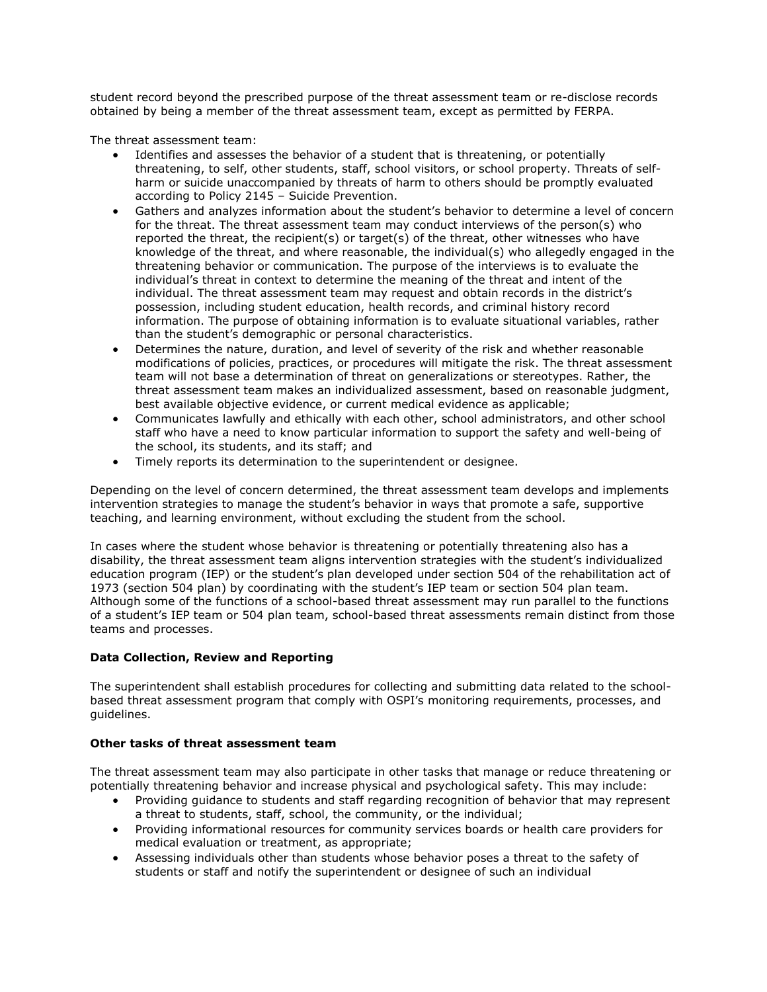student record beyond the prescribed purpose of the threat assessment team or re-disclose records obtained by being a member of the threat assessment team, except as permitted by FERPA.

The threat assessment team:

- Identifies and assesses the behavior of a student that is threatening, or potentially threatening, to self, other students, staff, school visitors, or school property. Threats of selfharm or suicide unaccompanied by threats of harm to others should be promptly evaluated according to Policy 2145 – Suicide Prevention.
- Gathers and analyzes information about the student's behavior to determine a level of concern for the threat. The threat assessment team may conduct interviews of the person(s) who reported the threat, the recipient(s) or target(s) of the threat, other witnesses who have knowledge of the threat, and where reasonable, the individual(s) who allegedly engaged in the threatening behavior or communication. The purpose of the interviews is to evaluate the individual's threat in context to determine the meaning of the threat and intent of the individual. The threat assessment team may request and obtain records in the district's possession, including student education, health records, and criminal history record information. The purpose of obtaining information is to evaluate situational variables, rather than the student's demographic or personal characteristics.
- Determines the nature, duration, and level of severity of the risk and whether reasonable modifications of policies, practices, or procedures will mitigate the risk. The threat assessment team will not base a determination of threat on generalizations or stereotypes. Rather, the threat assessment team makes an individualized assessment, based on reasonable judgment, best available objective evidence, or current medical evidence as applicable;
- Communicates lawfully and ethically with each other, school administrators, and other school staff who have a need to know particular information to support the safety and well-being of the school, its students, and its staff; and
- Timely reports its determination to the superintendent or designee.

Depending on the level of concern determined, the threat assessment team develops and implements intervention strategies to manage the student's behavior in ways that promote a safe, supportive teaching, and learning environment, without excluding the student from the school.

In cases where the student whose behavior is threatening or potentially threatening also has a disability, the threat assessment team aligns intervention strategies with the student's individualized education program (IEP) or the student's plan developed under section 504 of the rehabilitation act of 1973 (section 504 plan) by coordinating with the student's IEP team or section 504 plan team. Although some of the functions of a school-based threat assessment may run parallel to the functions of a student's IEP team or 504 plan team, school-based threat assessments remain distinct from those teams and processes.

## Data Collection, Review and Reporting

The superintendent shall establish procedures for collecting and submitting data related to the schoolbased threat assessment program that comply with OSPI's monitoring requirements, processes, and guidelines.

## Other tasks of threat assessment team

The threat assessment team may also participate in other tasks that manage or reduce threatening or potentially threatening behavior and increase physical and psychological safety. This may include:

- Providing guidance to students and staff regarding recognition of behavior that may represent a threat to students, staff, school, the community, or the individual;
- Providing informational resources for community services boards or health care providers for medical evaluation or treatment, as appropriate;
- Assessing individuals other than students whose behavior poses a threat to the safety of students or staff and notify the superintendent or designee of such an individual